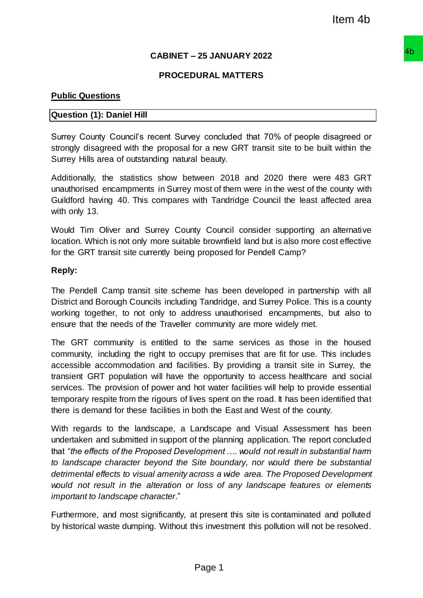# **CABINET – 25 JANUARY 2022**

## **PROCEDURAL MATTERS**

### **Public Questions**

### **Question (1): Daniel Hill**

Surrey County Council's recent Survey concluded that 70% of people disagreed or strongly disagreed with the proposal for a new GRT transit site to be built within the Surrey Hills area of outstanding natural beauty.

Additionally, the statistics show between 2018 and 2020 there were 483 GRT unauthorised encampments in Surrey most of them were in the west of the county with Guildford having 40. This compares with Tandridge Council the least affected area with only 13.

Would Tim Oliver and Surrey County Council consider supporting an alternative location. Which is not only more suitable brownfield land but is also more cost effective for the GRT transit site currently being proposed for Pendell Camp?

#### **Reply:**

The Pendell Camp transit site scheme has been developed in partnership with all District and Borough Councils including Tandridge, and Surrey Police. This is a county working together, to not only to address unauthorised encampments, but also to ensure that the needs of the Traveller community are more widely met.

The GRT community is entitled to the same services as those in the housed community, including the right to occupy premises that are fit for use. This includes accessible accommodation and facilities. By providing a transit site in Surrey, the transient GRT population will have the opportunity to access healthcare and social services. The provision of power and hot water facilities will help to provide essential temporary respite from the rigours of lives spent on the road. It has been identified that there is demand for these facilities in both the East and West of the county.

With regards to the landscape, a Landscape and Visual Assessment has been undertaken and submitted in support of the planning application. The report concluded that "*the effects of the Proposed Development …. would not result in substantial harm to landscape character beyond the Site boundary, nor would there be substantial detrimental effects to visual amenity across a wide area. The Proposed Development would not result in the alteration or loss of any landscape features or elements important to landscape character*." Item 4b<br>
25 JANUARY 2022<br>
URAL MATTERS<br>
We concluded that 70% of people disagreed or<br>
are GRT transit site to be built within the<br>
It beauty.<br>
We en 2018 and 2020 there were 483 GRT<br>
It beauty.<br>
ween 2018 and 2020 there we

Furthermore, and most significantly, at present this site is contaminated and polluted by historical waste dumping. Without this investment this pollution will not be resolved.